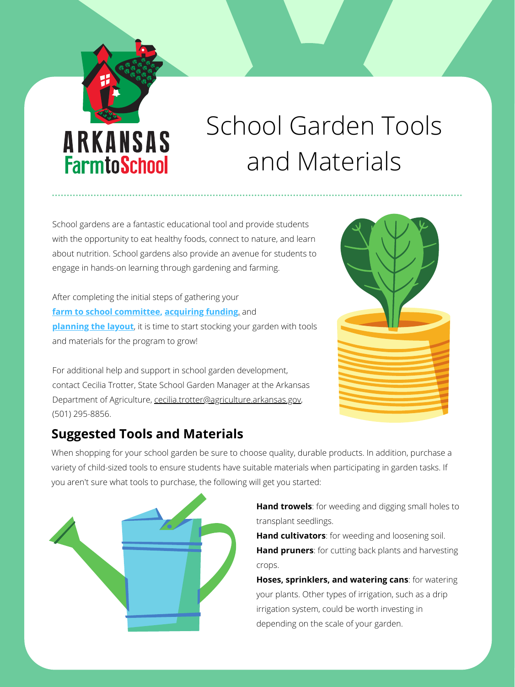

## School Garden Tools and Materials

**Hand trowels**: for weeding and digging small holes to transplant seedlings. **Hand cultivators**: for weeding and loosening soil. **Hand pruners**: for cutting back plants and harvesting crops.

**Hoses, sprinklers, and watering cans**: for watering your plants. Other types of irrigation, such as a drip irrigation system, could be worth investing in depending on the scale of your garden.

School gardens are a fantastic educational tool and provide students with the opportunity to eat healthy foods, connect to nature, and learn about nutrition. School gardens also provide an avenue for students to engage in hands-on learning through gardening and farming.

After completing the initial steps of gathering your **f[arm to school committee](https://arfarmtoschool.org/getting-started/getting-started-and-action-planning/), [acquiring funding](https://arfarmtoschool.org/getting-started/grants-and-funding/)[,](https://arfarmtoschool.org/wp-content/uploads/2021/08/School-Garden-Grants-Handout-8.12.2021.pdf) and [planning the layout](https://arfarmtoschool.org/school-gardens/build-and-plant/)**, it is time to start stocking your garden with tools and materials for the program to grow!



For additional help and support in school garden development, contact Cecilia Trotter, State School Garden Manager at the Arkansas Department of Agriculture, [cecilia.trotter@agriculture.arkansas.gov](mailto:cecilia.trotter@agriculture.arkansas.gov), (501) 295-8856.

When shopping for your school garden be sure to choose quality, durable products. In addition, purchase a variety of child-sized tools to ensure students have suitable materials when participating in garden tasks. If you aren't sure what tools to purchase, the following will get you started:



## **Suggested Tools and Materials**